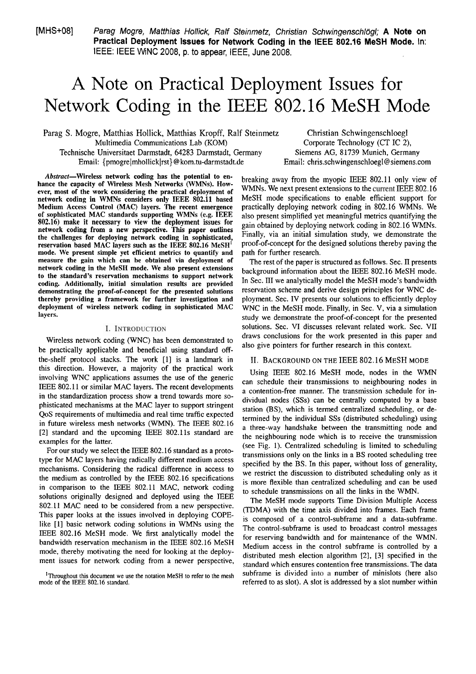[MHS+08] Parag Mogre, Matthias Hollick, Ralf Steinmetz, Christian Schwingenschlögl; **A Note on Practical Deployment lssues for Network Coding in the IEEE 802.16 MeSH Mode.** In: **IEEE: IEEE** WiNC 2008, p. to appear, IEEE, June 2008.

# **A** Note on Practical Deployment Issues for Network Coding in the IEEE 802.16 MeSH Mode

Parag S. Mogre, Matthias Hollick, Matthias Kropff, Ralf Steinmetz Christian Schwingenschloegl Multimedia Communications Lab (KOM) Corporate Technology (CT IC 2), Technische Universitaet Darmstadt, 64283 Darmstadt, Germany Siemens AG, 81739 Munich, Germany Email: {pmogre|mhollick|rst} @ kom.tu-darmstadt.de Email: chris.schwingenschloegl@siemens.com

Abstract—Wireless network coding has the potential to en-<br>hance the capacity of Wireless Mesh Networks (WMNs). How-<br>gyer most of the work considering the prostical deplayment of WMNs. We next present extensions to the curr ever, most of the work considering the practical deployment of <sup>WMNS.</sup> We next present extensions to the current IEEE 802.16<br>network coding in WMNs considers only JEEE 802.11 based MeSH mode specifications to enable effici **network coding in WMNs considers only IEEE 802.11 based Medium Access Control (MAC) layers. The recent emergence Medium Access Control (MAC) layers. The recent emergence** practically deploying network coding in 802.16 WMNs. We 802.16) make it necessary to view the deployment issues for<br>network coding from a new perspective. This paper outlines<br>the challenges for deploying network coding in sophisticated<br>the challenges for deploying network codin **the challenges for deploying network coding in sophisticated,** Finally, via an initial Simulation study, we demonstrate the reservation based MAC layers such as the IEEE 802.16 MeSH<sup>1</sup> mode. We present simple yet efficient metrics to quantify and measure the gain which can be obtained via deployment of **network coding in the MeSH mode. We also present extensions**  to the standard's reservation mechanisms to support network **coding. Additionally, initial simulation results are provided demonstrating the proof-of-concept for the presented solutions thereby providing a framework for further investigation and deployment of wireless network coding in sophisticated MAC layers.** 

#### I. INTRODUCTION

Wireless network coding (WNC) has been demonstrated to be practically applicable and beneficial using standard offthe-shelf protocol stacks. The work [I] is a landmark in this direction. However, a majority of the practical work involving WNC applications assumes the use of the generic IEEE 802.11 or similar MAC layers. The recent developments in the standardization process show a trend towards more sophisticated mechanisms at the MAC layer to support stringent QoS requirements of multimedia and real time traffic expected in future wireless mesh networks (WMN). The IEEE 802.16 [2] standard and the upcoming IEEE 802.11s standard are examples for the latter.

For our study we select the IEEE 802.16 standard as a prototype for MAC layers having radically different medium access mechanisms. Considering the radical difference in access to the medium as controlled by the IEEE 802.16 specifications in comparison to the IEEE 802.11 MAC, network coding solutions originally designed and deployed using the IEEE 802.11 MAC need to be considered from a new perspective. This paper looks at the issues involved in deploying COPElike [l] basic network coding solutions in WMNs using the IEEE 802.16 MeSH mode. We first analytically model the bandwidth reservation mechanism in the IEEE 802.16 MeSH mode, thereby motivating the need for looking at the deployment issues for network coding from a newer perspective, path for further research.

The rest of the paper is structured as follows. Sec. **II** presents background information about the IEEE 802.16 MeSH mode. In Sec. 111 we analytically model the MeSH mode's bandwidth reservation scheme and derive design principles for WNC deployment. Sec. IV presents our solutions to efficiently deploy WNC in the MeSH mode. Finally, in Sec. V, via a simulation study we demonstrate the proof-of-concept for the presented solutions. Sec. V1 discusses relevant related work. Sec. VII draws conclusions for the work presented in this paper and also give pointers for further research in this context.

### 11. BACKGROUND ON THE IEEE 802.16 MESH MODE

Using IEEE 802.16 MeSH mode, nodes in the WMN can schedule their transrnissions to neighbouring nodes in a contention-free manner. The transmission schedule for individual nodes (SSs) can **be** centrally computed by a base station (BS), which is termed centralized scheduling, or determined by the individual SSs (distributed scheduling) using a three-way handshake between the transmitting node and the neighbouring node which is to receive the transmission (See Fig. 1). Centralized scheduling is lirnited to scheduling transmissions only on the links in a BS rooted scheduling tree specified by the BS. In this paper, without loss of generality, we restrict the discussion to distributed scheduling only as it is more flexible than centralized scheduling and can **be** used to schedule transmissions on all the links in the WMN.

The MeSH mode supports Time Division Multiple Access (TDMA) with the time axis divided into frames. Each frame is composed of a control-subframe and a data-subframe. The control-subfiame is used to broadcast control messages for resewing bandwidth and for maintenance of the WMN. Medium access in the control subframe is controlled by a distributed mesh election algorithm [2], [3] specified in the standard which ensures contention free transmissions. The data <sup>1</sup>Throughout this document we use the notation MeSH to refer to the mesh subframe is divided into a number of minislots (here also mode of the IEEE 802.16 standard. referred to as slot). A slot is addressed by a slot number within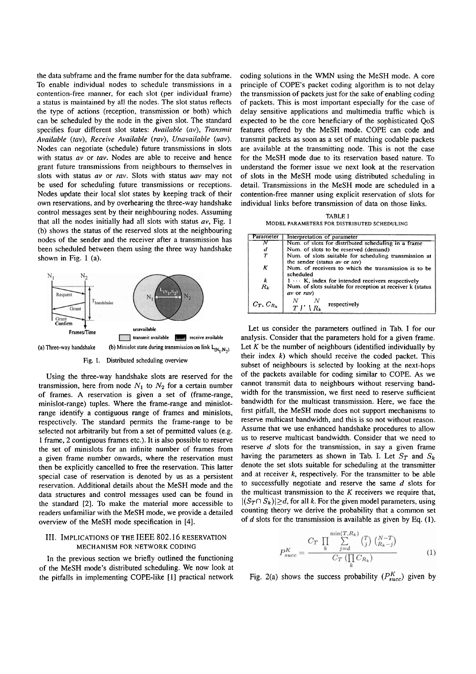the data subframe and the frame number for the data subframe. To enable individual nodes to schedule transmissions in a contention-free manner, for each slot (per individual frame) a status is maintained by all the nodes. The slot status reflects the type of actions (reception, transmission or both) which can be scheduled by the node in the given slot. The standard specifies four different slot states: Available (av), Transmit Available (tav), Receive Available (rav), Unavailable (uav). Nodes can negotiate (schedule) future transmissions in slots with status  $av$  or  $tav$ . Nodes are able to receive and hence grant future transmissions from neighbours to themselves in slots with status av or rav. Slots with status uav may not be used for scheduling future transmissions or receptions. Nodes update their local slot states by keeping track of their own reservations, and by overhearing the three-way handshake control messages sent by their neighbouring nodes. Assuming that all the nodes initially had all slots with status  $av$ , Fig. 1 (b) shows the status of the reserved slots at the neighbouring nodes of the sender and the receiver after a transmission has been scheduled between them using the three way handshake shown in Fig. 1 (a).



Using the three-way handshake slots are reserved for the transmission, here from node  $N_1$  to  $N_2$  for a certain number of frames. A reservation is given a set of (frame-range, minislot-range) tuples. Where the frame-range and minislotrange identify a contiguous range of frames and minislots, respectively. The standard pennits the frame-range to be selected not arbitrarily but from a set of permitted values (e.g. I frame, 2 contiguous frames etc.). It is also possible to reserve the set of minislots for an infinite number of frames from a given frame number onwards, where the reservation must then be explicitly cancelled to free the reservation. This latter special case of reservation is denoted by us as a persistent reservation. Additional details about the MeSH mode and the data structures and control messages used can be found in the standard [2]. To make the material more accessible to readers unfamiliar with the MeSH mode, we provide a detailed overview of the MeSH mode specification in **[4].** 

## 111. IMPLICATIONS OF THE IEEE 802.16 RESERVATlON MECHANISM FOR NETWORK CODING

In the previous section we briefly outlined the functioning of the MeSH mode's distributed scheduling. We now look at the pitfalls in implementing COPE-like **[I]** practical network coding solutions in the WMN using the MeSH mode. A core principle of COPE's packet coding algorithm is to not delay the transmission of packets just for the sake of enabling coding of packets. This is most important especially for the case of delay sensitive applications and multimedia traffic which is expected to be the core beneficiary of the sophisticated QoS features offered by the MeSH mode. COPE can code and transmit packets as soon as a set of matching codable packets are available at the transmitting node. This is not the case for the MeSH mode due to its reservation based nature. To understand the former issue we next look at the reservation of slots in the MeSH mode using distributed scheduling in detail. Transmissions in the MeSH mode are scheduled in a contention-free manner using explicit reservation of slots for individual links before transmission of data on those links.

TABLE I MODEL PARAMETERS FOR DlSTRlBUTED SCHEDULING

| Parameter      | Interpretation of parameter                                 |
|----------------|-------------------------------------------------------------|
|                | Num. of slots for distributed scheduling in a frame         |
| d              | Num. of slots to be reserved (demand)                       |
| $\tau$         | Num. of slots suitable for scheduling transmission at       |
|                | the sender (status $av$ or $tav$ )                          |
| К              | Num. of receivers to which the transmission is to be        |
|                | scheduled                                                   |
| k              | $1 \cdots K$ , index for intended receivers respectively    |
| $R_k$          | Num. of slots suitable for reception at receiver k (status) |
|                | $av$ or $rav$ )                                             |
| $C_T, C_{R_L}$ | respectively<br>$T \mid \mid \cdot \mid R_k$                |

Let us consider the parameters outlined in Tab. I for our analysis. Consider that the parameters hold for a given frame. Let  $K$  be the number of neighbours (identified individually by their index  $k$ ) which should receive the coded packet. This subset of neighbours is selected by looking at the next-hops of the packets available for coding sirnilar to COPE. As we cannot transmit data to neighbours without reserving bandwidth for the transmission, we first need to reserve sufficient bandwidth for the multicast transmission. Here, we face the first pitfall, the MeSH mode does not support mechanisms to reserve multicast bandwidth, and this is so not without reason. Assume that we use enhanced handshake procedures to allow us to reserve multicast bandwidth. Consider that we need to reserve  $d$  slots for the transmission, in say a given frame having the parameters as shown in Tab. I. Let  $S_T$  and  $S_k$ denote the set slots suitable for scheduling at the transmitter and at receiver  $k$ , respectively. For the transmitter to be able to successfully negotiate and reserve the same  $d$  slots for the multicast transmission to the **K** receivers we require that,  $|(S_T \cap S_k)| \geq d$ , for all k. For the given model parameters, using counting theory we derive the probability that a comrnon set of  $d$  slots for the transmission is available as given by Eq. (1).

$$
P_{succ}^{K} = \frac{C_T \prod_{k} \sum_{j=d}^{\min(T,R_k)} {T \choose j} {N-T \choose R_k-j}}{C_T \left(\prod_{k} C_{R_k}\right)}
$$
(1)

Fig. 2(a) shows the success probability  $(P_{succ}^K)$  given by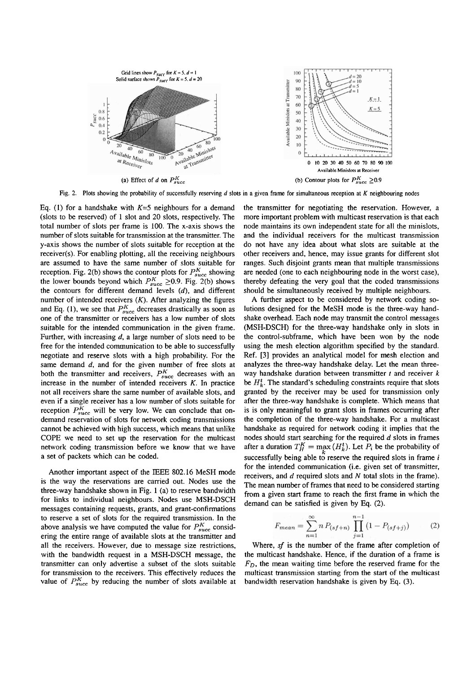

Fig. 2. Plots showing the probability of successfully reserving d slots in a given frame for simultaneous reception at K neighbouring nodes

Eq. (1) for a handshake with  $K=5$  neighbours for a demand (slots to be reserved) of 1 slot and 20 slots, respectively. The total number of slots per frame is 100. The X-axis shows the number of slots suitable for transmission at the transmitter. The y-axis shows the number of slots suitable for reception at the receiver(s). For enabling plotting, all the receiving neighbours are assumed to have the same number of slots suitable for reception. Fig. 2(b) shows the contour plots for  $P_{succ}^{K}$  showing the lower bounds beyond which  $P_{succ}^{K} \ge 0.9$ . Fig. 2(b) shows the contours for different demand levels (d), and different number of intended receivers  $(K)$ . After analyzing the figures and Eq. (1), we see that  $P_{succ}^{K}$  decreases drastically as soon as one of the transmitter or receivers has a low number of slots suitable for the intended communication in the given frame. Further, with increasing  $d$ , a large number of slots need to be free for the intended communication to be able to successfully negotiate and reserve slots with a high probability. For the same demand  $d$ , and for the given number of free slots at both the transmitter and receivers,  $P_{succ}^{K}$  decreases with an increase in the number of intended receivers  $K$ . In practice not all receivers share the same number of available slots, and even if a single receiver has a low number of slots suitable for reception  $P_{succ}^{K}$  will be very low. We can conclude that ondemand reservation of slots for network coding transmissions cannot be achieved with high success, which means that unlike COPE we need to set up the reservation for the multicast network coding transmission before we know that we have a set of packets which can be coded.

Another important aspect of the EEE 802.16 MeSH mode is the way the reservations are carried out. Nodes use the three-way handshake shown in Fig. 1 (a) to reserve bandwidth for links to individual neighbours. Nodes use MSH-DSCH messages containing requests, grants, and grant-confirmations to reserve a set of slots for the required transmission. In the above analysis we have computed the value for  $P_{succ}^{K}$  considering the entire range of available slots at the transmitter and all the receivers. However, due to message size restrictions. with the bandwidth request in a MSH-DSCH message, the transmitter can only advertise a subset of the slots suitable for transmission to the receivers. This effectively reduces the value of  $P_{succ}^{K}$  by reducing the number of slots available at

the transmitter for negotiating the reservation. However, a more important problem with multicast reservation is that each node maintains its own independent state for all the minislots, and the individual receivers for the multicast transmission do not have any idea about what slots are suitable at the other receivers and, hence, may issue grants for different slot ranges. Such disjoint grants mean that multiple transmissions are needed (one to each neighbouring node in the worst case), thereby defeating the very goal that the coded transmissions should be simultaneously received by multiple neighbours.

A further aspect to be considered by network coding solutions designed for the MeSH mode is the three-way handshake overhead. Each node may transmit the control messages (MSH-DSCH) for the three-way handshake only in slots in the control-subframe, which have been won by the node using the mesh election algorithm specified by the standard. Ref. **[3]** provides an analytical model for mesh election and analyzes the three-way handshake delay. Let the mean threeway handshake duration between transmitter *t* and receiver k be  $H<sub>k</sub><sup>t</sup>$ . The standard's scheduling constraints require that slots granted by the receiver may be used for transmission only after the three-way handshake is complete. Which means that is is only meaningful to grant slots in frames occurring after the completion of the three-way handshake. For a multicast handshake as required for network coding it implies that the nodes should start searching for the required  $d$  slots in frames after a duration  $T_H^K = \max_k (H_k^t)$ . Let  $P_i$  be the probability of successfully being able to reserve the required slots in frame *i* for the intended communication (i.e. given set of transmitter, receivers, and  $d$  required slots and  $N$  total slots in the frame). The mean number of frames that need to be considered starting from a given start frame to reach the first frame in which the demand can be satisfied is given by Eq. (2).

$$
F_{mean} = \sum_{n=1}^{\infty} n P_{(sf+n)} \prod_{j=1}^{n-1} (1 - P_{(sf+j)}) \tag{2}
$$

Where, **sf** is the number of the frame after completion of the multicast handshake. Hence, if the duration of a frame is *FD,* the mean waiting time before the reserved frame for the multicast transmission starting from the start of the multicast bandwidth reservation handshake is given by **Eq. (3).**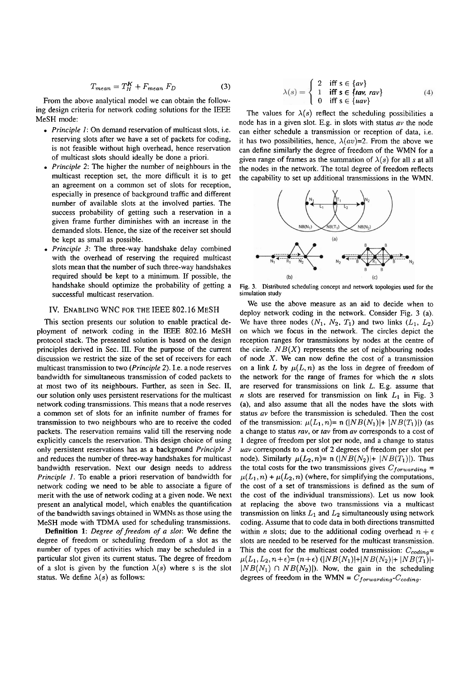$$
T_{mean} = T_H^K + F_{mean} F_D \tag{3}
$$

From the above analytical model we can obtain the following design criteria for network coding solutions for the EEE MeSH mode:

- . *Principle I:* On demand reservation of multicast slots, i.e. reserving slots after we have a set of packets for coding, is not feasible without high overhead, hence reservation of multicast slots should ideally be done a priori.
- . *Principle* 2: The higher the number of neighbours in the multicast reception set, the more difficult it is to get an agreement on a common set of slots for reception, especially in presence of background traffic and different number of available slots at the involved parties. The success probability of getting such a reservation in a given frame further diminishes with an increase in the demanded slots. Hence, the size of the receiver set should be kept as small as possible.
- . *Principle 3:* The three-way handshake delay combined with the overhead of reserving the required multicast slots mean that the number of such three-way handshakes required should be kept to a minimum. If possible, the handshake should optimize the probability of getting a successful multicast reservation.

#### IV. ENABLING WNC FOR **THE** IEEE **802.16** MESH

This section presents our solution to enable practical deployment of network coding in the IEEE **802.16** MeSH protocol stack. The presented solution is based on the design principles derived in Sec. 111. For the purpose of the current discussion we restrict the size of the set of receivers for each multicast transmission to two *(Principle* 2). 1.e. a node reserves bandwidth for simultaneous transmission of coded packets to at most two of its neighbours. Further, as seen in Sec. 11, our solution only uses persistent reservations for the multicast network coding transmissions. This means that a node reserves a comrnon set of slots for an infinite number of frames for transmission to two neighbours who are to receive the coded packets. The reservation remains valid till the reserving node explicitly cancels the reservation. This design choice of using only persistent resewations has as a background *Principle* 3 and reduces the number of three-way handshakes for multicast bandwidth reservation. Next our design needs to address *Principle 1.* To enable a priori reservation of bandwidth for network coding we need to be able to associate a figure of merit with the use of network coding at a given node. We next present an analytical model, which enables the quantification of the bandwidth savings'obtained in WMNs as those using the MeSH mode with TDMA used for scheduling transmissions.

*Definition 1: Degree of freedom of a slot:* We define the degree of freedom or scheduling freedom of a slot as the number of types of activities which may **be** scheduled in a particular slot given its current status. The degree of freedom of a slot is given by the function  $\lambda(s)$  where s is the slot status. We define  $\lambda(s)$  as follows:

$$
\lambda(s) = \begin{cases}\n2 & \text{iff } s \in \{av\} \\
1 & \text{iff } s \in \{tav, rav\} \\
0 & \text{iff } s \in \{uav\}\n\end{cases}
$$
\n(4)

The values for  $\lambda(s)$  reflect the scheduling possibilities a node has in a given slot. E.g. in slots with status *av* the node can either schedule a transmission or reception of data, i.e. it has two possibilities, hence,  $\lambda(av)=2$ . From the above we can define similarly the degree of freedom of the WMN for a given range of frames as the summation of  $\lambda(s)$  for all *s* at all the nodes in the network. The total degree of freedom reflects the capability to set up additional transmissions in the WMN.



**Fig. 3. Distribuied scheduling concept and network topologies used for the simulaiion study** 

We use the above measure as an aid to decide when to deploy network coding in the network. Consider Fig. 3 (a). We have three nodes  $(N_1, N_2, T_1)$  and two links  $(L_1, L_2)$ on which we focus in the network. The circles depict the reception ranges for transmissions by nodes at the centre of the circle.  $NB(X)$  represents the set of neighbouring nodes of node *X.* We can now define the cost of a transmission on a link L by  $\mu(L,n)$  as the loss in degree of freedom of the network for the range of frames for which the *n* slots are reserved for transmissions on link L. E.g. assume that *n* slots are reserved for transmission on link *L1* in Fig. 3 (a), and also assume that all the nodes have the slots with status *av* before the transmission is scheduled. Then the cost of the transmission:  $\mu(L_1, n) = n \left( |NB(N_1)| + |NB(T_1)| \right)$  (as a change to status *rav,* or *tav* from *av* corresponds to a cost of **<sup>1</sup>**degree of freedom per slot per node, and a change to status *uav* corresponds to a cost of **2** degrees of freedom per slot per node). Similarly  $\mu(L_2, n) = n (|NB(N_2)|+|NB(T_1)|)$ . Thus the total costs for the two transmissions gives  $C_{forwarding} =$  $\mu(L_1, n) + \mu(L_2, n)$  (where, for simplifying the computations, the cost of a set of transmissions is defined as the sum of the cost of the individual transmissions). Let us now look at replacing the above two transmissions via a multicast transmission on links  $L_1$  and  $L_2$  simultaneously using network coding. Assume that to code data in both directions transmitted within *n* slots; due to the additional coding overhead  $n + \epsilon$ slots are needed to be resewed for the multicast transmission. This the cost for the multicast coded transmission:  $C_{coding}$  $\mu(L_1, L_2, n+\epsilon) = (n+\epsilon) (|NB(N_1)|+|NB(N_2)|+|NB(T_1)| |NB(N_1) \cap NB(N_2)|$ ). Now, the gain in the scheduling degrees of freedom in the WMN =  $C_{forwarding}$ - $C_{coding}$ .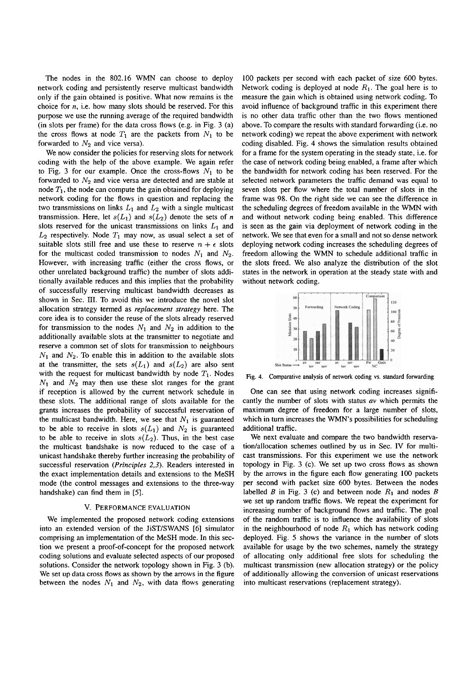The nodes in the 802.16 WMN can choose to deploy network coding and persistently reserve multicast bandwidth only if the gain obtained is positive. What now remains is the choice for  $n$ , i.e. how many slots should be reserved. For this purpose we use the running average of the required bandwidth (in slots per frame) for the data cross flows (e.g. in Fig. **3** (a) the cross flows at node  $T_1$  are the packets from  $N_1$  to be forwarded to  $N_2$  and vice versa).

We now consider the policies for reserving slots for network coding with the help of the above example. We again refer to Fig. 3 for our example. Once the cross-flows  $N_1$  to be forwarded to *N2* and vice versa are detected and are stable at node  $T_1$ , the node can compute the gain obtained for deploying network coding for the flows in question and replacing the two transmissions on links  $L_1$  and  $L_2$  with a single multicast transmission. Here, let  $s(L_1)$  and  $s(L_2)$  denote the sets of n slots reserved for the unicast transmissions on links *L,* and  $L_2$  respectively. Node  $T_1$  may now, as usual select a set of suitable slots still free and use these to reserve  $n + \epsilon$  slots for the multicast coded transmission to nodes  $N_1$  and  $N_2$ . However, with increasing traffic (either the cross flows, or other unrelated background traffic) the number of slots additionally available reduces and this implies that the probability of successfully reserving multicast bandwidth decreases as shown in Sec. **111.** To avoid this we introduce the novel slot allocation strategy termed as *replacement strategy* here. The core idea is to consider the reuse of the slots already reserved for transmission to the nodes  $N_1$  and  $N_2$  in addition to the additionally available slots at the transmitter to negotiate and reserve a common set of slots for transmission to neighbours  $N_1$  and  $N_2$ . To enable this in addition to the available slots at the transmitter, the sets  $s(L_1)$  and  $s(L_2)$  are also sent with the request for multicast bandwidth by node  $T_1$ . Nodes *N1* and *N2* may then use these slot ranges for the grant if reception is allowed by the current network schedule in these slots. The additional range of slots available for the grants increases the probability of successful reservation of the multicast bandwidth. Here, we see that  $N_1$  is guaranteed to be able to receive in slots  $s(L_1)$  and  $N_2$  is guaranteed to be able to receive in slots  $s(L_2)$ . Thus, in the best case the multicast handshake is now reduced to the case of a unicast handshake thereby further increasing the probability of successful reservation (Principles 2.3). Readers interested in the exact implementation details and extensions to the MeSH mode (the control messages and extensions to the three-way handshake) can find them in [5].

#### V. **PERFORMANCE EVALUATION**

We implemented the proposed network coding extensions into an extended version of the JiST/SWANS [6] simulator comprising an implementation of the MeSH mode. In this section we present a proof-of-concept for the proposed network coding solutions and evaluate selected aspects of our proposed solutions. Consider the network topology shown in Fig. **3** (b). We set up data cross flows as shown by the arrows in the figure between the nodes *N1* and *N2,* with data flows generating 100 packets per second with each packet of size 600 bytes. Network coding is deployed at node *R1.* The goal here is to measure the gain which is obtained using network coding. To avoid influence of background traffic in this experiment there is no other data traffic other than the two flows mentioned above. To compare the results with standard forwarding (i.e. no network coding) we repeat the above experiment with network coding disabled. Fig. 4 shows the simulation results obtained for a frame for the System operating in the steady state, i.e. for the case of network coding being enabled, a frame after which the bandwidth for network coding has been reserved. For the selected network parameters the traffic demand was equal to seven slots per flow where the total number of slots in the frame was 98. On the right side we can see the difference in the scheduling degrees of freedom available in the WMN with and without network coding being enabled. This difference is seen as the gain via deployment of network coding in the network. We see that even for a small and not so dense network deploying network coding increases the scheduling degrees of freedom allowing the WMN to schedule additional traffic in the slots freed. We also analyze the distribution of the slot states in the network in operation at the steady state with and without network coding.



**Fig. 4. Comparative analysis of network coding vs. standard forwarding** 

One can see that using network coding increases significantly the number of slots with status av which permits the maximum degree of freedom for a large number of slots, which in **turn** increases the WMN's possibilities for scheduling additional traffic.

We next evaluate and compare the two bandwidth reservation/allocation schemes outlined by us in Sec. IV for multicast transmissions. For this experiment we use the network topology in Fig. **3** (C). We Set up two cross flows as shown by the arrows in the figure each flow generating 100 packets per second with packet size 600 bytes. Between the nodes labelled B in Fig. 3 (c) and between node  $R_1$  and nodes B we set up random traffic flows. We repeat the experiment for increasing number of background flows and traffic. The goal of the random traffic is to influence the availability of slots in the neighbourhood of node *R1* which has network coding deployed. Fig. 5 shows the variance in the number of slots available for usage by the two schemes, namely the strategy of allocating only additional free slots for scheduling the multicast transmission (new allocation strategy) or the policy of additionally allowing the conversion of unicast reservations into multicast reservations (replacement strategy).